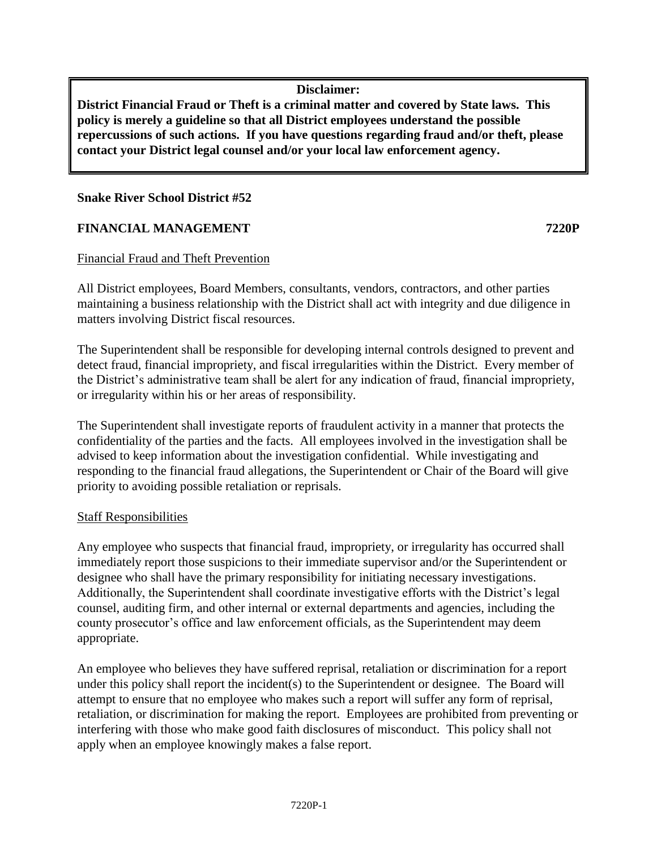**Disclaimer:**

**District Financial Fraud or Theft is a criminal matter and covered by State laws. This policy is merely a guideline so that all District employees understand the possible repercussions of such actions. If you have questions regarding fraud and/or theft, please contact your District legal counsel and/or your local law enforcement agency.**

## **Snake River School District #52**

## **FINANCIAL MANAGEMENT 7220P**

#### Financial Fraud and Theft Prevention

All District employees, Board Members, consultants, vendors, contractors, and other parties maintaining a business relationship with the District shall act with integrity and due diligence in matters involving District fiscal resources.

The Superintendent shall be responsible for developing internal controls designed to prevent and detect fraud, financial impropriety, and fiscal irregularities within the District. Every member of the District's administrative team shall be alert for any indication of fraud, financial impropriety, or irregularity within his or her areas of responsibility.

The Superintendent shall investigate reports of fraudulent activity in a manner that protects the confidentiality of the parties and the facts. All employees involved in the investigation shall be advised to keep information about the investigation confidential. While investigating and responding to the financial fraud allegations, the Superintendent or Chair of the Board will give priority to avoiding possible retaliation or reprisals.

#### Staff Responsibilities

Any employee who suspects that financial fraud, impropriety, or irregularity has occurred shall immediately report those suspicions to their immediate supervisor and/or the Superintendent or designee who shall have the primary responsibility for initiating necessary investigations. Additionally, the Superintendent shall coordinate investigative efforts with the District's legal counsel, auditing firm, and other internal or external departments and agencies, including the county prosecutor's office and law enforcement officials, as the Superintendent may deem appropriate.

An employee who believes they have suffered reprisal, retaliation or discrimination for a report under this policy shall report the incident(s) to the Superintendent or designee. The Board will attempt to ensure that no employee who makes such a report will suffer any form of reprisal, retaliation, or discrimination for making the report. Employees are prohibited from preventing or interfering with those who make good faith disclosures of misconduct. This policy shall not apply when an employee knowingly makes a false report.